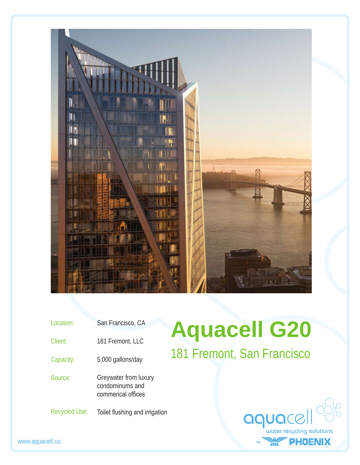

| Location:            | San Francisco, CA                                              |
|----------------------|----------------------------------------------------------------|
| Client:              | 181 Fremont, LLC                                               |
| Capacity:            | 5,000 gallons/day                                              |
| Source:              | Greywater from luxury<br>condominums and<br>commerical offices |
| <b>Recycled Use:</b> | Toilet flushing and irrigation                                 |

## **Aquacell G20** 181 Fremont, San Francisco

| aquacell                  |  |
|---------------------------|--|
| water recycling solutions |  |
| PHOENIX                   |  |

www.aquacell.us